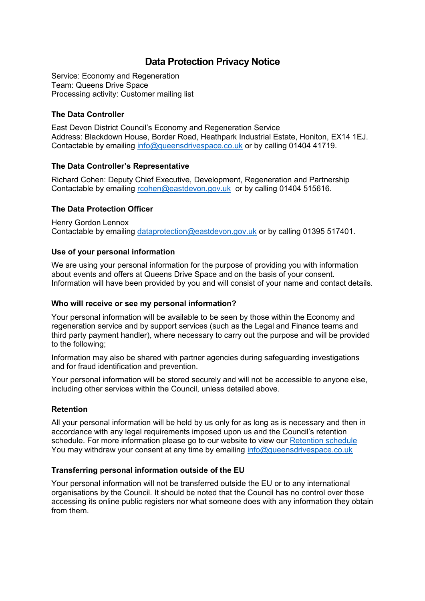# **Data Protection Privacy Notice**

Service: Economy and Regeneration Team: Queens Drive Space Processing activity: Customer mailing list

## **The Data Controller**

East Devon District Council's Economy and Regeneration Service Address: Blackdown House, Border Road, Heathpark Industrial Estate, Honiton, EX14 1EJ. Contactable by emailing [info@queensdrivespace.co.uk](mailto:info@queensdrivespace.co.uk) or by calling 01404 41719.

### **The Data Controller's Representative**

Richard Cohen: Deputy Chief Executive, Development, Regeneration and Partnership Contactable by emailing [rcohen@eastdevon.gov.uk](mailto:rcohen@eastdevon.gov.uk) or by calling 01404 515616.

## **The Data Protection Officer**

Henry Gordon Lennox Contactable by emailing [dataprotection@eastdevon.gov.uk](mailto:dataprotection@eastdevon.gov.uk) or by calling 01395 517401.

### **Use of your personal information**

We are using your personal information for the purpose of providing you with information about events and offers at Queens Drive Space and on the basis of your consent. Information will have been provided by you and will consist of your name and contact details.

### **Who will receive or see my personal information?**

Your personal information will be available to be seen by those within the Economy and regeneration service and by support services (such as the Legal and Finance teams and third party payment handler), where necessary to carry out the purpose and will be provided to the following;

Information may also be shared with partner agencies during safeguarding investigations and for fraud identification and prevention.

Your personal information will be stored securely and will not be accessible to anyone else, including other services within the Council, unless detailed above.

### **Retention**

All your personal information will be held by us only for as long as is necessary and then in accordance with any legal requirements imposed upon us and the Council's retention schedule. For more information please go to our website to view our [Retention schedule](http://eastdevon.gov.uk/access-to-information/data-protection/document-retention-schedules/) You may withdraw your consent at any time by emailing info@queensdrivespace.co.uk

### **Transferring personal information outside of the EU**

Your personal information will not be transferred outside the EU or to any international organisations by the Council. It should be noted that the Council has no control over those accessing its online public registers nor what someone does with any information they obtain from them.